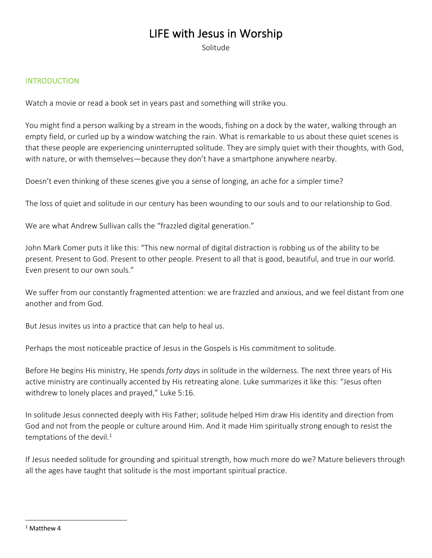# LIFE with Jesus in Worship

Solitude

## **INTRODUCTION**

Watch a movie or read a book set in years past and something will strike you.

You might find a person walking by a stream in the woods, fishing on a dock by the water, walking through an empty field, or curled up by a window watching the rain. What is remarkable to us about these quiet scenes is that these people are experiencing uninterrupted solitude. They are simply quiet with their thoughts, with God, with nature, or with themselves—because they don't have a smartphone anywhere nearby.

Doesn't even thinking of these scenes give you a sense of longing, an ache for a simpler time?

The loss of quiet and solitude in our century has been wounding to our souls and to our relationship to God.

We are what Andrew Sullivan calls the "frazzled digital generation."

John Mark Comer puts it like this: "This new normal of digital distraction is robbing us of the ability to be present. Present to God. Present to other people. Present to all that is good, beautiful, and true in our world. Even present to our own souls."

We suffer from our constantly fragmented attention: we are frazzled and anxious, and we feel distant from one another and from God.

But Jesus invites us into a practice that can help to heal us.

Perhaps the most noticeable practice of Jesus in the Gospels is His commitment to solitude.

Before He begins His ministry, He spends *forty day*s in solitude in the wilderness. The next three years of His active ministry are continually accented by His retreating alone. Luke summarizes it like this: "Jesus often withdrew to lonely places and prayed," Luke 5:16.

In solitude Jesus connected deeply with His Father; solitude helped Him draw His identity and direction from God and not from the people or culture around Him. And it made Him spiritually strong enough to resist the temptations of the devil. $1$ 

If Jesus needed solitude for grounding and spiritual strength, how much more do we? Mature believers through all the ages have taught that solitude is the most important spiritual practice.

 $1$  Matthew 4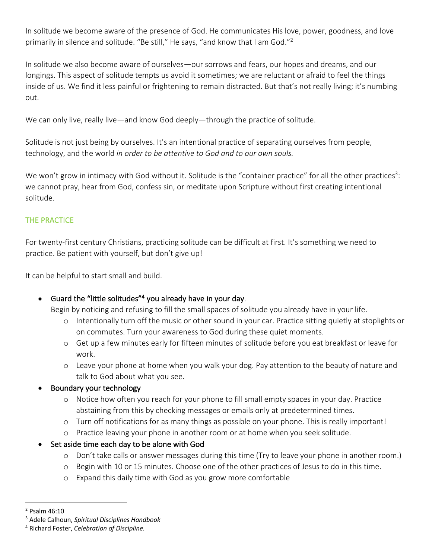In solitude we become aware of the presence of God. He communicates His love, power, goodness, and love primarily in silence and solitude. "Be still," He says, "and know that I am God."<sup>2</sup>

In solitude we also become aware of ourselves—our sorrows and fears, our hopes and dreams, and our longings. This aspect of solitude tempts us avoid it sometimes; we are reluctant or afraid to feel the things inside of us. We find it less painful or frightening to remain distracted. But that's not really living; it's numbing out.

We can only live, really live—and know God deeply—through the practice of solitude.

Solitude is not just being by ourselves. It's an intentional practice of separating ourselves from people, technology, and the world *in order to be attentive to God and to our own souls.* 

We won't grow in intimacy with God without it. Solitude is the "container practice" for all the other practices<sup>3</sup>: we cannot pray, hear from God, confess sin, or meditate upon Scripture without first creating intentional solitude.

# THE PRACTICE

For twenty-first century Christians, practicing solitude can be difficult at first. It's something we need to practice. Be patient with yourself, but don't give up!

It can be helpful to start small and build.

# • Guard the "little solitudes"<sup>4</sup> you already have in your day.

Begin by noticing and refusing to fill the small spaces of solitude you already have in your life.

- o Intentionally turn off the music or other sound in your car. Practice sitting quietly at stoplights or on commutes. Turn your awareness to God during these quiet moments.
- o Get up a few minutes early for fifteen minutes of solitude before you eat breakfast or leave for work.
- o Leave your phone at home when you walk your dog. Pay attention to the beauty of nature and talk to God about what you see.

# • Boundary your technology

- o Notice how often you reach for your phone to fill small empty spaces in your day. Practice abstaining from this by checking messages or emails only at predetermined times.
- o Turn off notifications for as many things as possible on your phone. This is really important!
- o Practice leaving your phone in another room or at home when you seek solitude.
- Set aside time each day to be alone with God
	- o Don't take calls or answer messages during this time (Try to leave your phone in another room.)
	- o Begin with 10 or 15 minutes. Choose one of the other practices of Jesus to do in this time.
	- o Expand this daily time with God as you grow more comfortable

<sup>2</sup> Psalm 46:10

<sup>3</sup> Adele Calhoun, *Spiritual Disciplines Handbook*

<sup>4</sup> Richard Foster, *Celebration of Discipline.*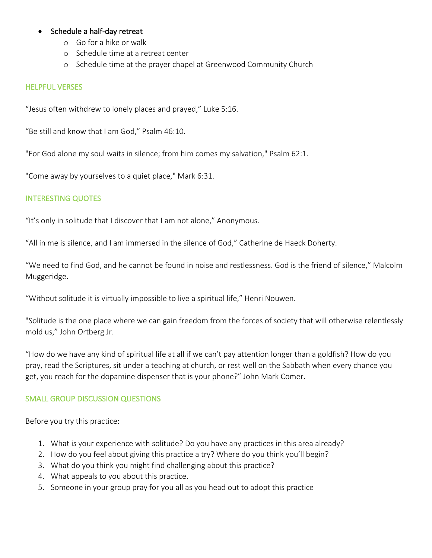## • Schedule a half-day retreat

- o Go for a hike or walk
- o Schedule time at a retreat center
- o Schedule time at the prayer chapel at Greenwood Community Church

#### HELPFUL VERSES

"Jesus often withdrew to lonely places and prayed," Luke 5:16.

"Be still and know that I am God," Psalm 46:10.

"For God alone my soul waits in silence; from him comes my salvation," Psalm 62:1.

"Come away by yourselves to a quiet place," Mark 6:31.

## INTERESTING QUOTES

"It's only in solitude that I discover that I am not alone," Anonymous.

"All in me is silence, and I am immersed in the silence of God," Catherine de Haeck Doherty.

"We need to find God, and he cannot be found in noise and restlessness. God is the friend of silence," Malcolm Muggeridge.

"Without solitude it is virtually impossible to live a spiritual life," Henri Nouwen.

"Solitude is the one place where we can gain freedom from the forces of society that will otherwise relentlessly mold us," John Ortberg Jr.

"How do we have any kind of spiritual life at all if we can't pay attention longer than a goldfish? How do you pray, read the Scriptures, sit under a teaching at church, or rest well on the Sabbath when every chance you get, you reach for the dopamine dispenser that is your phone?" John Mark Comer.

## SMALL GROUP DISCUSSION QUESTIONS

Before you try this practice:

- 1. What is your experience with solitude? Do you have any practices in this area already?
- 2. How do you feel about giving this practice a try? Where do you think you'll begin?
- 3. What do you think you might find challenging about this practice?
- 4. What appeals to you about this practice.
- 5. Someone in your group pray for you all as you head out to adopt this practice